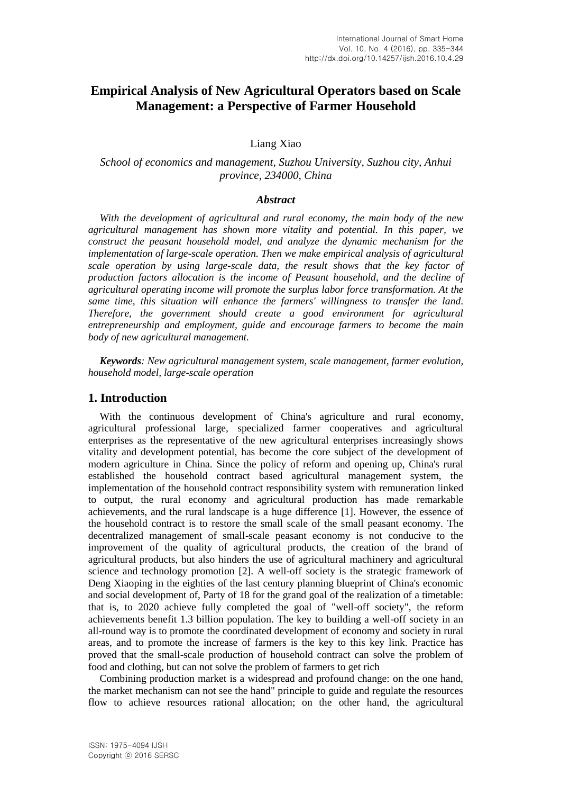# **Empirical Analysis of New Agricultural Operators based on Scale Management: a Perspective of Farmer Household**

Liang Xiao

## *School of economics and management, Suzhou University, Suzhou city, Anhui province, 234000, China*

#### *Abstract*

*With the development of agricultural and rural economy, the main body of the new agricultural management has shown more vitality and potential. In this paper, we construct the peasant household model, and analyze the dynamic mechanism for the implementation of large-scale operation. Then we make empirical analysis of agricultural scale operation by using large-scale data, the result shows that the key factor of production factors allocation is the income of Peasant household, and the decline of agricultural operating income will promote the surplus labor force transformation. At the same time, this situation will enhance the farmers' willingness to transfer the land. Therefore, the government should create a good environment for agricultural entrepreneurship and employment, guide and encourage farmers to become the main body of new agricultural management.*

*Keywords: New agricultural management system, scale management, farmer evolution, household model, large-scale operation*

#### **1. Introduction**

With the continuous development of China's agriculture and rural economy, agricultural professional large, specialized farmer cooperatives and agricultural enterprises as the representative of the new agricultural enterprises increasingly shows vitality and development potential, has become the core subject of the development of modern agriculture in China. Since the policy of reform and opening up, China's rural established the household contract based agricultural management system, the implementation of the household contract responsibility system with remuneration linked to output, the rural economy and agricultural production has made remarkable achievements, and the rural landscape is a huge difference [1]. However, the essence of the household contract is to restore the small scale of the small peasant economy. The decentralized management of small-scale peasant economy is not conducive to the improvement of the quality of agricultural products, the creation of the brand of agricultural products, but also hinders the use of agricultural machinery and agricultural science and technology promotion [2]. A well-off society is the strategic framework of Deng Xiaoping in the eighties of the last century planning blueprint of China's economic and social development of, Party of 18 for the grand goal of the realization of a timetable: that is, to 2020 achieve fully completed the goal of "well-off society", the reform achievements benefit 1.3 billion population. The key to building a well-off society in an all-round way is to promote the coordinated development of economy and society in rural areas, and to promote the increase of farmers is the key to this key link. Practice has proved that the small-scale production of household contract can solve the problem of food and clothing, but can not solve the problem of farmers to get rich

Combining production market is a widespread and profound change: on the one hand, the market mechanism can not see the hand" principle to guide and regulate the resources flow to achieve resources rational allocation; on the other hand, the agricultural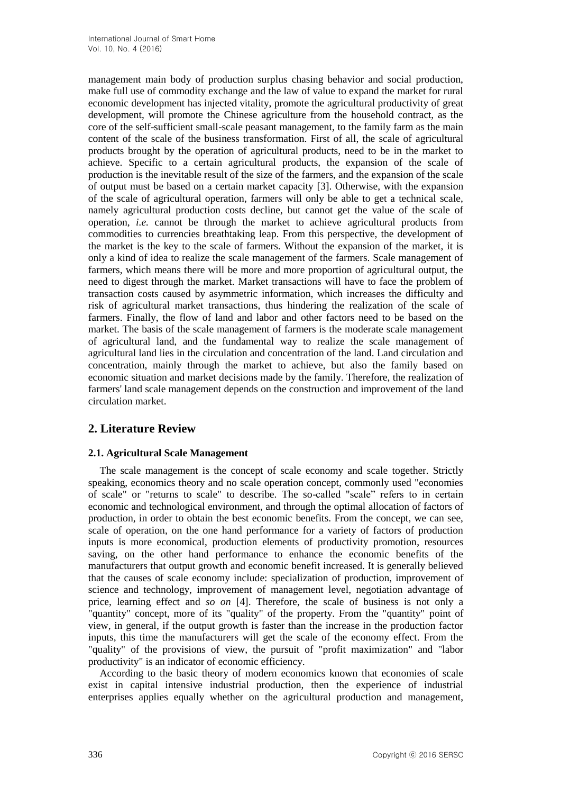management main body of production surplus chasing behavior and social production, make full use of commodity exchange and the law of value to expand the market for rural economic development has injected vitality, promote the agricultural productivity of great development, will promote the Chinese agriculture from the household contract, as the core of the self-sufficient small-scale peasant management, to the family farm as the main content of the scale of the business transformation. First of all, the scale of agricultural products brought by the operation of agricultural products, need to be in the market to achieve. Specific to a certain agricultural products, the expansion of the scale of production is the inevitable result of the size of the farmers, and the expansion of the scale of output must be based on a certain market capacity [3]. Otherwise, with the expansion of the scale of agricultural operation, farmers will only be able to get a technical scale, namely agricultural production costs decline, but cannot get the value of the scale of operation, *i.e.* cannot be through the market to achieve agricultural products from commodities to currencies breathtaking leap. From this perspective, the development of the market is the key to the scale of farmers. Without the expansion of the market, it is only a kind of idea to realize the scale management of the farmers. Scale management of farmers, which means there will be more and more proportion of agricultural output, the need to digest through the market. Market transactions will have to face the problem of transaction costs caused by asymmetric information, which increases the difficulty and risk of agricultural market transactions, thus hindering the realization of the scale of farmers. Finally, the flow of land and labor and other factors need to be based on the market. The basis of the scale management of farmers is the moderate scale management of agricultural land, and the fundamental way to realize the scale management of agricultural land lies in the circulation and concentration of the land. Land circulation and concentration, mainly through the market to achieve, but also the family based on economic situation and market decisions made by the family. Therefore, the realization of farmers' land scale management depends on the construction and improvement of the land circulation market.

# **2. Literature Review**

## **2.1. Agricultural Scale Management**

The scale management is the concept of scale economy and scale together. Strictly speaking, economics theory and no scale operation concept, commonly used "economies of scale" or "returns to scale" to describe. The so-called "scale" refers to in certain economic and technological environment, and through the optimal allocation of factors of production, in order to obtain the best economic benefits. From the concept, we can see, scale of operation, on the one hand performance for a variety of factors of production inputs is more economical, production elements of productivity promotion, resources saving, on the other hand performance to enhance the economic benefits of the manufacturers that output growth and economic benefit increased. It is generally believed that the causes of scale economy include: specialization of production, improvement of science and technology, improvement of management level, negotiation advantage of price, learning effect and *so on* [4]. Therefore, the scale of business is not only a "quantity" concept, more of its "quality" of the property. From the "quantity" point of view, in general, if the output growth is faster than the increase in the production factor inputs, this time the manufacturers will get the scale of the economy effect. From the "quality" of the provisions of view, the pursuit of "profit maximization" and "labor productivity" is an indicator of economic efficiency.

According to the basic theory of modern economics known that economies of scale exist in capital intensive industrial production, then the experience of industrial enterprises applies equally whether on the agricultural production and management,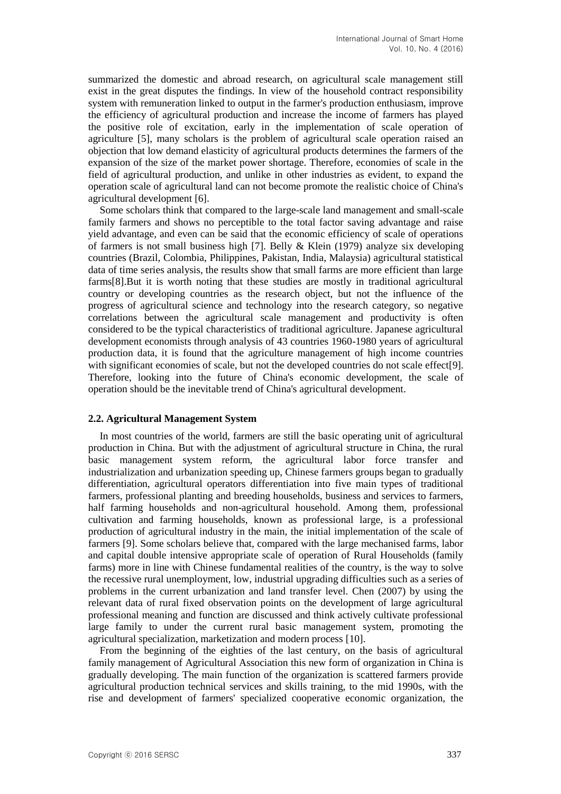summarized the domestic and abroad research, on agricultural scale management still exist in the great disputes the findings. In view of the household contract responsibility system with remuneration linked to output in the farmer's production enthusiasm, improve the efficiency of agricultural production and increase the income of farmers has played the positive role of excitation, early in the implementation of scale operation of agriculture [5], many scholars is the problem of agricultural scale operation raised an objection that low demand elasticity of agricultural products determines the farmers of the expansion of the size of the market power shortage. Therefore, economies of scale in the field of agricultural production, and unlike in other industries as evident, to expand the operation scale of agricultural land can not become promote the realistic choice of China's agricultural development [6].

Some scholars think that compared to the large-scale land management and small-scale family farmers and shows no perceptible to the total factor saving advantage and raise yield advantage, and even can be said that the economic efficiency of scale of operations of farmers is not small business high [7]. Belly  $\&$  Klein (1979) analyze six developing countries (Brazil, Colombia, Philippines, Pakistan, India, Malaysia) agricultural statistical data of time series analysis, the results show that small farms are more efficient than large farms[8].But it is worth noting that these studies are mostly in traditional agricultural country or developing countries as the research object, but not the influence of the progress of agricultural science and technology into the research category, so negative correlations between the agricultural scale management and productivity is often considered to be the typical characteristics of traditional agriculture. Japanese agricultural development economists through analysis of 43 countries 1960-1980 years of agricultural production data, it is found that the agriculture management of high income countries with significant economies of scale, but not the developed countries do not scale effect[9]. Therefore, looking into the future of China's economic development, the scale of operation should be the inevitable trend of China's agricultural development.

#### **2.2. Agricultural Management System**

In most countries of the world, farmers are still the basic operating unit of agricultural production in China. But with the adjustment of agricultural structure in China, the rural basic management system reform, the agricultural labor force transfer and industrialization and urbanization speeding up, Chinese farmers groups began to gradually differentiation, agricultural operators differentiation into five main types of traditional farmers, professional planting and breeding households, business and services to farmers, half farming households and non-agricultural household. Among them, professional cultivation and farming households, known as professional large, is a professional production of agricultural industry in the main, the initial implementation of the scale of farmers [9]. Some scholars believe that, compared with the large mechanised farms, labor and capital double intensive appropriate scale of operation of Rural Households (family farms) more in line with Chinese fundamental realities of the country, is the way to solve the recessive rural unemployment, low, industrial upgrading difficulties such as a series of problems in the current urbanization and land transfer level. Chen (2007) by using the relevant data of rural fixed observation points on the development of large agricultural professional meaning and function are discussed and think actively cultivate professional large family to under the current rural basic management system, promoting the agricultural specialization, marketization and modern process [10].

From the beginning of the eighties of the last century, on the basis of agricultural family management of Agricultural Association this new form of organization in China is gradually developing. The main function of the organization is scattered farmers provide agricultural production technical services and skills training, to the mid 1990s, with the rise and development of farmers' specialized cooperative economic organization, the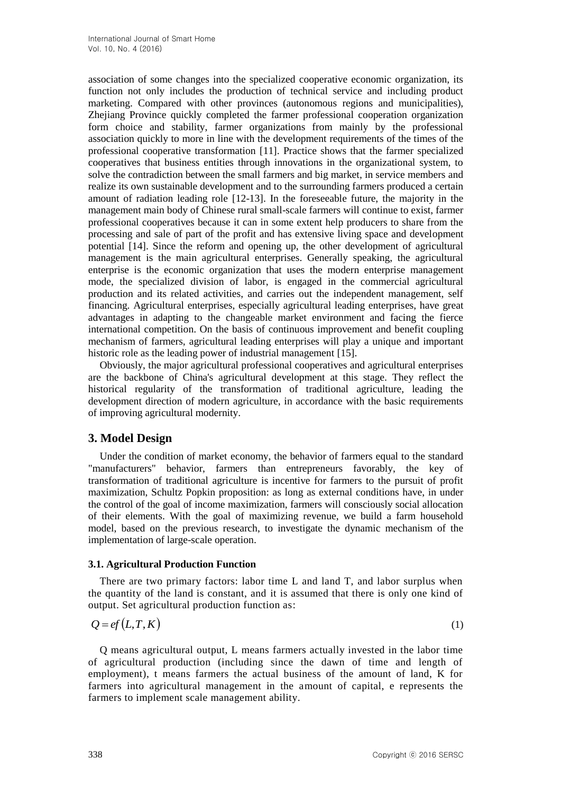association of some changes into the specialized cooperative economic organization, its function not only includes the production of technical service and including product marketing. Compared with other provinces (autonomous regions and municipalities), Zhejiang Province quickly completed the farmer professional cooperation organization form choice and stability, farmer organizations from mainly by the professional association quickly to more in line with the development requirements of the times of the professional cooperative transformation [11]. Practice shows that the farmer specialized cooperatives that business entities through innovations in the organizational system, to solve the contradiction between the small farmers and big market, in service members and realize its own sustainable development and to the surrounding farmers produced a certain amount of radiation leading role [12-13]. In the foreseeable future, the majority in the management main body of Chinese rural small-scale farmers will continue to exist, farmer professional cooperatives because it can in some extent help producers to share from the processing and sale of part of the profit and has extensive living space and development potential [14]. Since the reform and opening up, the other development of agricultural management is the main agricultural enterprises. Generally speaking, the agricultural enterprise is the economic organization that uses the modern enterprise management mode, the specialized division of labor, is engaged in the commercial agricultural production and its related activities, and carries out the independent management, self financing. Agricultural enterprises, especially agricultural leading enterprises, have great advantages in adapting to the changeable market environment and facing the fierce international competition. On the basis of continuous improvement and benefit coupling mechanism of farmers, agricultural leading enterprises will play a unique and important historic role as the leading power of industrial management [15].

Obviously, the major agricultural professional cooperatives and agricultural enterprises are the backbone of China's agricultural development at this stage. They reflect the historical regularity of the transformation of traditional agriculture, leading the development direction of modern agriculture, in accordance with the basic requirements of improving agricultural modernity.

# **3. Model Design**

Under the condition of market economy, the behavior of farmers equal to the standard "manufacturers" behavior, farmers than entrepreneurs favorably, the key of transformation of traditional agriculture is incentive for farmers to the pursuit of profit maximization, Schultz Popkin proposition: as long as external conditions have, in under the control of the goal of income maximization, farmers will consciously social allocation of their elements. With the goal of maximizing revenue, we build a farm household model, based on the previous research, to investigate the dynamic mechanism of the implementation of large-scale operation.

#### **3.1. Agricultural Production Function**

There are two primary factors: labor time L and land T, and labor surplus when the quantity of the land is constant, and it is assumed that there is only one kind of output. Set agricultural production function as:

$$
Q = ef(L, T, K) \tag{1}
$$

Q means agricultural output, L means farmers actually invested in the labor time of agricultural production (including since the dawn of time and length of employment), t means farmers the actual business of the amount of land, K for farmers into agricultural management in the amount of capital, e represents the farmers to implement scale management ability.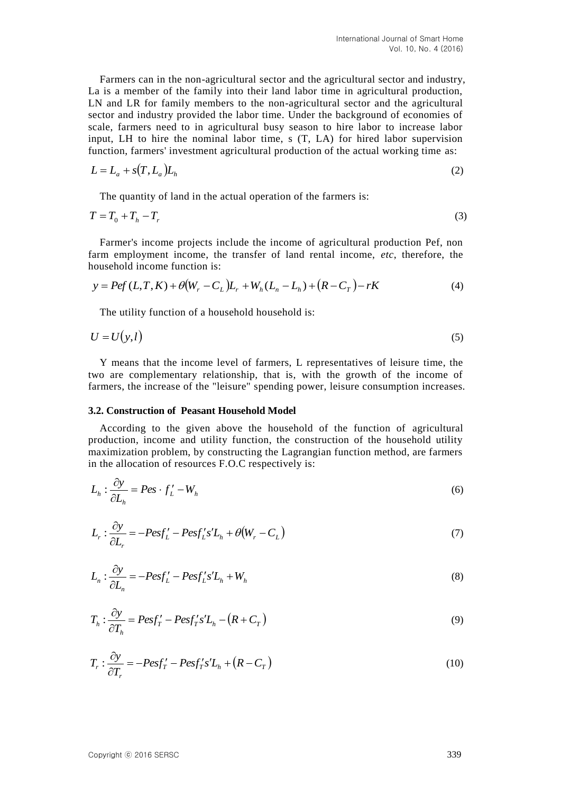Farmers can in the non-agricultural sector and the agricultural sector and industry, La is a member of the family into their land labor time in agricultural production, LN and LR for family members to the non-agricultural sector and the agricultural sector and industry provided the labor time. Under the background of economies of scale, farmers need to in agricultural busy season to hire labor to increase labor input, LH to hire the nominal labor time, s (T, LA) for hired labor supervision function, farmers' investment agricultural production of the actual working time as:

$$
L = L_a + s(T, L_a)L_h
$$
 (2)

The quantity of land in the actual operation of the farmers is:

$$
T = T_0 + T_h - T_r \tag{3}
$$

Farmer's income projects include the income of agricultural production Pef, non farm employment income, the transfer of land rental income, *etc*, therefore, the household income function is:

$$
y = Pef(L, T, K) + \theta (W_r - C_L)L_r + W_h(L_n - L_h) + (R - C_T) - rK
$$
\n(4)

The utility function of a household household is:

$$
U = U(y, l) \tag{5}
$$

Y means that the income level of farmers, L representatives of leisure time, the two are complementary relationship, that is, with the growth of the income of farmers, the increase of the "leisure" spending power, leisure consumption increases.

#### **3.2. Construction of Peasant Household Model**

According to the given above the household of the function of agricultural production, income and utility function, the construction of the household utility maximization problem, by constructing the Lagrangian function method, are farmers in the allocation of resources F.O.C respectively is:

$$
L_h: \frac{\partial y}{\partial L_h} = Pes \cdot f'_L - W_h \tag{6}
$$

$$
L_r: \frac{\partial y}{\partial L_r} = -Pes f'_L - Pes f'_L s' L_h + \theta (W_r - C_L)
$$
\n(7)

$$
L_n: \frac{\partial y}{\partial L_n} = -Pes f'_L - Pes f'_L s' L_h + W_h \tag{8}
$$

$$
T_h: \frac{\partial y}{\partial T_h} = Pes f'_T - Pes f'_T s' L_h - (R + C_T)
$$
\n(9)

$$
T_r: \frac{\partial y}{\partial T_r} = -Pes f'_T - Pes f'_T s' L_h + (R - C_T)
$$
\n(10)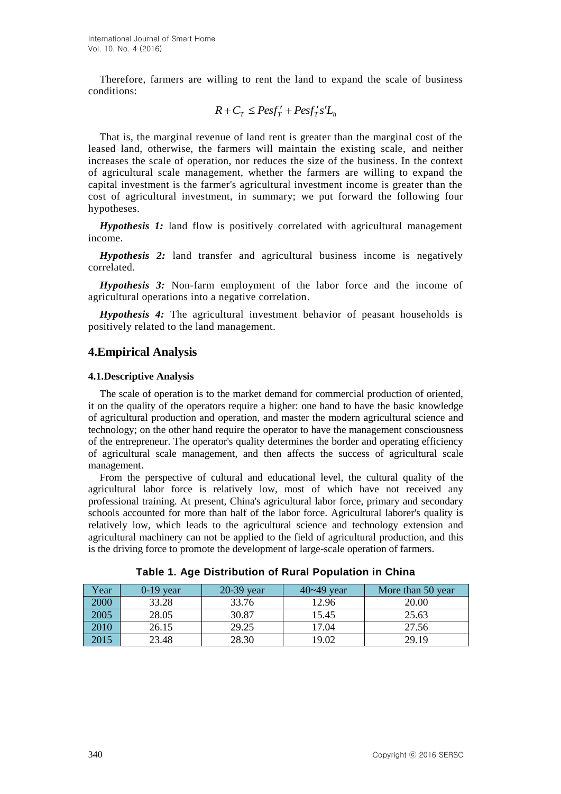Therefore, farmers are willing to rent the land to expand the scale of business conditions:

$$
R + C_T \leq \text{Pesf}_T' + \text{Pesf}_T's'L_h
$$

That is, the marginal revenue of land rent is greater than the marginal cost of the leased land, otherwise, the farmers will maintain the existing scale, and neither increases the scale of operation, nor reduces the size of the business. In the context of agricultural scale management, whether the farmers are willing to expand the capital investment is the farmer's agricultural investment income is greater than the cost of agricultural investment, in summary; we put forward the following four hypotheses.

*Hypothesis 1:* land flow is positively correlated with agricultural management income.

*Hypothesis 2:* land transfer and agricultural business income is negatively correlated.

*Hypothesis 3:* Non-farm employment of the labor force and the income of agricultural operations into a negative correlation.

*Hypothesis 4:* The agricultural investment behavior of peasant households is positively related to the land management.

# **4.Empirical Analysis**

#### **4.1.Descriptive Analysis**

The scale of operation is to the market demand for commercial production of oriented, it on the quality of the operators require a higher: one hand to have the basic knowledge of agricultural production and operation, and master the modern agricultural science and technology; on the other hand require the operator to have the management consciousness of the entrepreneur. The operator's quality determines the border and operating efficiency of agricultural scale management, and then affects the success of agricultural scale management.

From the perspective of cultural and educational level, the cultural quality of the agricultural labor force is relatively low, most of which have not received any professional training. At present, China's agricultural labor force, primary and secondary schools accounted for more than half of the labor force. Agricultural laborer's quality is relatively low, which leads to the agricultural science and technology extension and agricultural machinery can not be applied to the field of agricultural production, and this is the driving force to promote the development of large-scale operation of farmers.

| Year | $0-19$ year | 20-39 year | $40 - 49$ year | More than 50 year |
|------|-------------|------------|----------------|-------------------|
| 2000 | 33.28       | 33.76      | 12.96          | 20.00             |
| 2005 | 28.05       | 30.87      | 15.45          | 25.63             |
| 2010 | 26.15       | 29.25      | 17.04          | 27.56             |
| 2015 | 23.48       | 28.30      | 19.02          | 29.19             |

**Table 1. Age Distribution of Rural Population in China**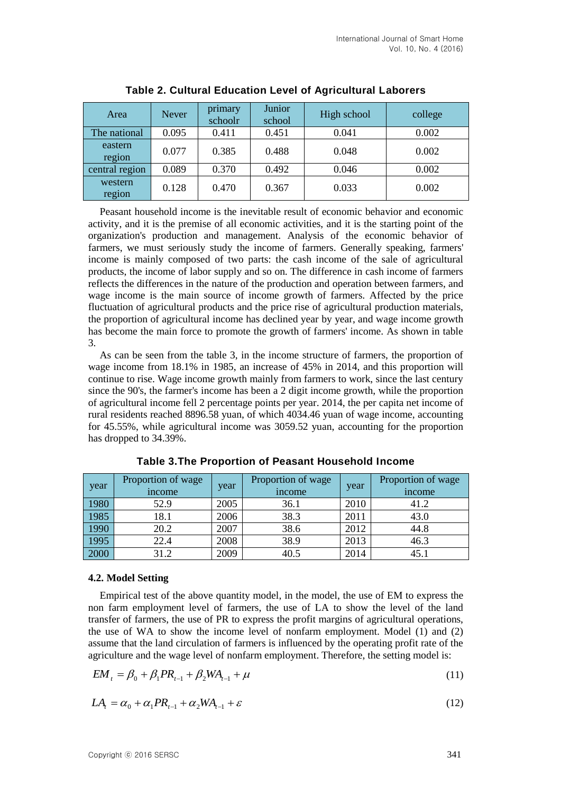| Area              | <b>Never</b> | primary<br>schoolr | Junior<br>school | High school | college |
|-------------------|--------------|--------------------|------------------|-------------|---------|
| The national      | 0.095        | 0.411              | 0.451            | 0.041       | 0.002   |
| eastern<br>region | 0.077        | 0.385              | 0.488            | 0.048       | 0.002   |
| central region    | 0.089        | 0.370              | 0.492            | 0.046       | 0.002   |
| western<br>region | 0.128        | 0.470              | 0.367            | 0.033       | 0.002   |

**Table 2. Cultural Education Level of Agricultural Laborers**

Peasant household income is the inevitable result of economic behavior and economic activity, and it is the premise of all economic activities, and it is the starting point of the organization's production and management. Analysis of the economic behavior of farmers, we must seriously study the income of farmers. Generally speaking, farmers' income is mainly composed of two parts: the cash income of the sale of agricultural products, the income of labor supply and so on. The difference in cash income of farmers reflects the differences in the nature of the production and operation between farmers, and wage income is the main source of income growth of farmers. Affected by the price fluctuation of agricultural products and the price rise of agricultural production materials, the proportion of agricultural income has declined year by year, and wage income growth has become the main force to promote the growth of farmers' income. As shown in table 3.

As can be seen from the table 3, in the income structure of farmers, the proportion of wage income from 18.1% in 1985, an increase of 45% in 2014, and this proportion will continue to rise. Wage income growth mainly from farmers to work, since the last century since the 90's, the farmer's income has been a 2 digit income growth, while the proportion of agricultural income fell 2 percentage points per year. 2014, the per capita net income of rural residents reached 8896.58 yuan, of which 4034.46 yuan of wage income, accounting for 45.55%, while agricultural income was 3059.52 yuan, accounting for the proportion has dropped to 34.39%.

| year | Proportion of wage<br><i>n</i> come | year | Proportion of wage<br>income | year | Proportion of wage<br>income |
|------|-------------------------------------|------|------------------------------|------|------------------------------|
| 1980 | 52.9                                | 2005 | 36.1                         | 2010 | 41.2                         |
| 1985 | 18.1                                | 2006 | 38.3                         | 2011 | 43.0                         |
| 1990 | 20.2                                | 2007 | 38.6                         | 2012 | 44.8                         |
| 1995 | 22.4                                | 2008 | 38.9                         | 2013 | 46.3                         |
| 2000 | 31.2                                | 2009 | 40.5                         | 2014 | 45.1                         |

**Table 3.The Proportion of Peasant Household Income**

#### **4.2. Model Setting**

Empirical test of the above quantity model, in the model, the use of EM to express the non farm employment level of farmers, the use of LA to show the level of the land transfer of farmers, the use of PR to express the profit margins of agricultural operations, the use of WA to show the income level of nonfarm employment. Model (1) and (2) assume that the land circulation of farmers is influenced by the operating profit rate of the agriculture and the wage level of nonfarm employment. Therefore, the setting model is:

$$
EM_t = \beta_0 + \beta_1 PR_{t-1} + \beta_2 WA_{t-1} + \mu
$$
\n(11)

$$
LAt = \alpha_0 + \alpha_1 PR_{t-1} + \alpha_2 WA_{t-1} + \varepsilon
$$
\n(12)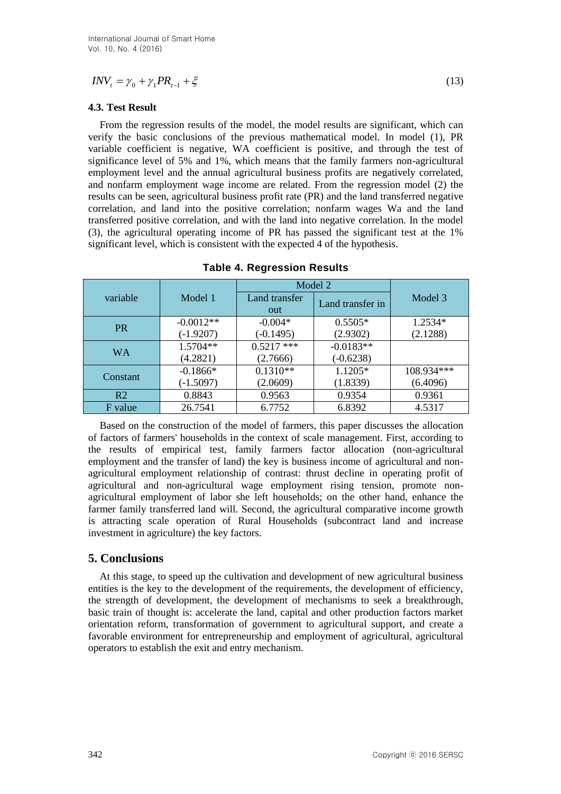### **4.3. Test Result**

| $INV_{t} = \gamma_{0} + \gamma_{1} PR_{t-1} + \xi$<br>(13)                                                                                                                                                                                                                                                                                                                                                                                                                                                                                                                                                                                                                                                                                                                                                                                                                                                                                                                                                      |                            |                                    |                       |                     |  |  |
|-----------------------------------------------------------------------------------------------------------------------------------------------------------------------------------------------------------------------------------------------------------------------------------------------------------------------------------------------------------------------------------------------------------------------------------------------------------------------------------------------------------------------------------------------------------------------------------------------------------------------------------------------------------------------------------------------------------------------------------------------------------------------------------------------------------------------------------------------------------------------------------------------------------------------------------------------------------------------------------------------------------------|----------------------------|------------------------------------|-----------------------|---------------------|--|--|
| 4.3. Test Result                                                                                                                                                                                                                                                                                                                                                                                                                                                                                                                                                                                                                                                                                                                                                                                                                                                                                                                                                                                                |                            |                                    |                       |                     |  |  |
| From the regression results of the model, the model results are significant, which can<br>verify the basic conclusions of the previous mathematical model. In model (1), PR<br>variable coefficient is negative, WA coefficient is positive, and through the test of<br>significance level of 5% and 1%, which means that the family farmers non-agricultural<br>employment level and the annual agricultural business profits are negatively correlated,<br>and nonfarm employment wage income are related. From the regression model (2) the<br>results can be seen, agricultural business profit rate (PR) and the land transferred negative<br>correlation, and land into the positive correlation; nonfarm wages Wa and the land<br>transferred positive correlation, and with the land into negative correlation. In the model<br>(3), the agricultural operating income of PR has passed the significant test at the 1%<br>significant level, which is consistent with the expected 4 of the hypothesis. |                            |                                    |                       |                     |  |  |
|                                                                                                                                                                                                                                                                                                                                                                                                                                                                                                                                                                                                                                                                                                                                                                                                                                                                                                                                                                                                                 |                            | <b>Table 4. Regression Results</b> |                       |                     |  |  |
|                                                                                                                                                                                                                                                                                                                                                                                                                                                                                                                                                                                                                                                                                                                                                                                                                                                                                                                                                                                                                 |                            |                                    | Model 2               |                     |  |  |
| variable                                                                                                                                                                                                                                                                                                                                                                                                                                                                                                                                                                                                                                                                                                                                                                                                                                                                                                                                                                                                        | Model 1                    | Land transfer<br>out               | Land transfer in      | Model 3             |  |  |
| PR                                                                                                                                                                                                                                                                                                                                                                                                                                                                                                                                                                                                                                                                                                                                                                                                                                                                                                                                                                                                              | $-0.0012**$<br>$(-1.9207)$ | $-0.004*$<br>$(-0.1495)$           | $0.5505*$<br>(2.9302) | 1.2534*<br>(2.1288) |  |  |
|                                                                                                                                                                                                                                                                                                                                                                                                                                                                                                                                                                                                                                                                                                                                                                                                                                                                                                                                                                                                                 | 1.5704**                   | $0.5217$ ***                       | $-0.0183**$           |                     |  |  |
| <b>WA</b>                                                                                                                                                                                                                                                                                                                                                                                                                                                                                                                                                                                                                                                                                                                                                                                                                                                                                                                                                                                                       | (4.2821)                   | (2.7666)                           | $(-0.6238)$           |                     |  |  |
| Constant                                                                                                                                                                                                                                                                                                                                                                                                                                                                                                                                                                                                                                                                                                                                                                                                                                                                                                                                                                                                        | $-0.1866*$                 | $0.1310**$                         | 1.1205*               | $108.934***$        |  |  |
|                                                                                                                                                                                                                                                                                                                                                                                                                                                                                                                                                                                                                                                                                                                                                                                                                                                                                                                                                                                                                 | $(-1.5097)$                | (2.0609)                           | (1.8339)              | (6.4096)            |  |  |
| R <sub>2</sub>                                                                                                                                                                                                                                                                                                                                                                                                                                                                                                                                                                                                                                                                                                                                                                                                                                                                                                                                                                                                  | 0.8843                     | 0.9563                             | 0.9354                | 0.9361              |  |  |
| F value                                                                                                                                                                                                                                                                                                                                                                                                                                                                                                                                                                                                                                                                                                                                                                                                                                                                                                                                                                                                         | 26.7541                    | 6.7752                             | 6.8392                | 4.5317              |  |  |
| Based on the construction of the model of farmers, this paper discusses the allocation<br>of factors of farmers' households in the context of scale management. First, according to<br>the results of empirical test, family farmers factor allocation (non-agricultural<br>employment and the transfer of land) the key is business income of agricultural and non-<br>agricultural employment relationship of contrast: thrust decline in operating profit of<br>agricultural and non-agricultural wage employment rising tension, promote non-<br>agricultural employment of labor she left households; on the other hand, enhance the<br>farmer family transferred land will. Second, the agricultural comparative income growth<br>is attracting scale operation of Rural Households (subcontract land and increase<br>investment in agriculture) the key factors.                                                                                                                                         |                            |                                    |                       |                     |  |  |
| <b>5. Conclusions</b>                                                                                                                                                                                                                                                                                                                                                                                                                                                                                                                                                                                                                                                                                                                                                                                                                                                                                                                                                                                           |                            |                                    |                       |                     |  |  |
| At this stage, to speed up the cultivation and development of new agricultural business<br>entities is the key to the development of the requirements, the development of efficiency,<br>the strength of development, the development of mechanisms to seek a breakthrough,<br>basic train of thought is: accelerate the land, capital and other production factors market<br>orientation reform, transformation of government to agricultural support, and create a<br>favorable environment for entrepreneurship and employment of agricultural, agricultural<br>operators to establish the exit and entry mechanism.                                                                                                                                                                                                                                                                                                                                                                                         |                            |                                    |                       |                     |  |  |
| 342<br>Copyright © 2016 SERSC                                                                                                                                                                                                                                                                                                                                                                                                                                                                                                                                                                                                                                                                                                                                                                                                                                                                                                                                                                                   |                            |                                    |                       |                     |  |  |

**Table 4. Regression Results**

## **5. Conclusions**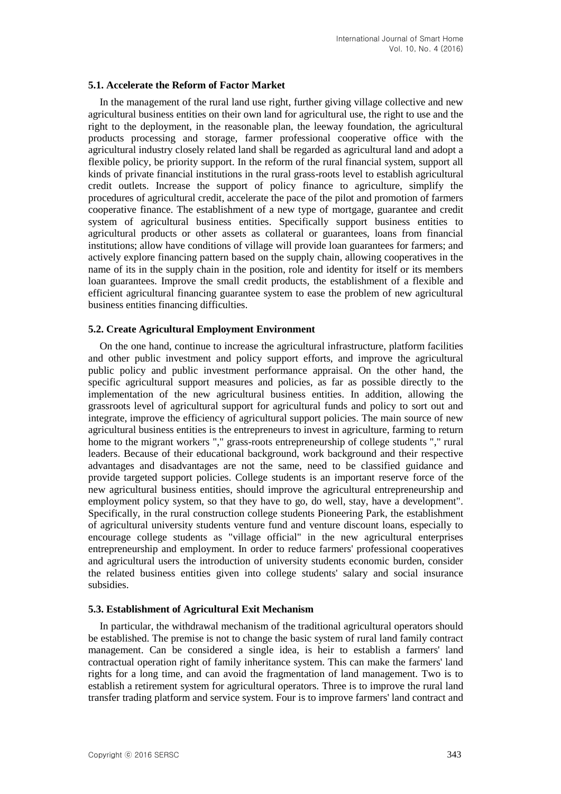#### **5.1. Accelerate the Reform of Factor Market**

In the management of the rural land use right, further giving village collective and new agricultural business entities on their own land for agricultural use, the right to use and the right to the deployment, in the reasonable plan, the leeway foundation, the agricultural products processing and storage, farmer professional cooperative office with the agricultural industry closely related land shall be regarded as agricultural land and adopt a flexible policy, be priority support. In the reform of the rural financial system, support all kinds of private financial institutions in the rural grass-roots level to establish agricultural credit outlets. Increase the support of policy finance to agriculture, simplify the procedures of agricultural credit, accelerate the pace of the pilot and promotion of farmers cooperative finance. The establishment of a new type of mortgage, guarantee and credit system of agricultural business entities. Specifically support business entities to agricultural products or other assets as collateral or guarantees, loans from financial institutions; allow have conditions of village will provide loan guarantees for farmers; and actively explore financing pattern based on the supply chain, allowing cooperatives in the name of its in the supply chain in the position, role and identity for itself or its members loan guarantees. Improve the small credit products, the establishment of a flexible and efficient agricultural financing guarantee system to ease the problem of new agricultural business entities financing difficulties.

#### **5.2. Create Agricultural Employment Environment**

On the one hand, continue to increase the agricultural infrastructure, platform facilities and other public investment and policy support efforts, and improve the agricultural public policy and public investment performance appraisal. On the other hand, the specific agricultural support measures and policies, as far as possible directly to the implementation of the new agricultural business entities. In addition, allowing the grassroots level of agricultural support for agricultural funds and policy to sort out and integrate, improve the efficiency of agricultural support policies. The main source of new agricultural business entities is the entrepreneurs to invest in agriculture, farming to return home to the migrant workers "," grass-roots entrepreneurship of college students "," rural leaders. Because of their educational background, work background and their respective advantages and disadvantages are not the same, need to be classified guidance and provide targeted support policies. College students is an important reserve force of the new agricultural business entities, should improve the agricultural entrepreneurship and employment policy system, so that they have to go, do well, stay, have a development". Specifically, in the rural construction college students Pioneering Park, the establishment of agricultural university students venture fund and venture discount loans, especially to encourage college students as "village official" in the new agricultural enterprises entrepreneurship and employment. In order to reduce farmers' professional cooperatives and agricultural users the introduction of university students economic burden, consider the related business entities given into college students' salary and social insurance subsidies.

#### **5.3. Establishment of Agricultural Exit Mechanism**

In particular, the withdrawal mechanism of the traditional agricultural operators should be established. The premise is not to change the basic system of rural land family contract management. Can be considered a single idea, is heir to establish a farmers' land contractual operation right of family inheritance system. This can make the farmers' land rights for a long time, and can avoid the fragmentation of land management. Two is to establish a retirement system for agricultural operators. Three is to improve the rural land transfer trading platform and service system. Four is to improve farmers' land contract and